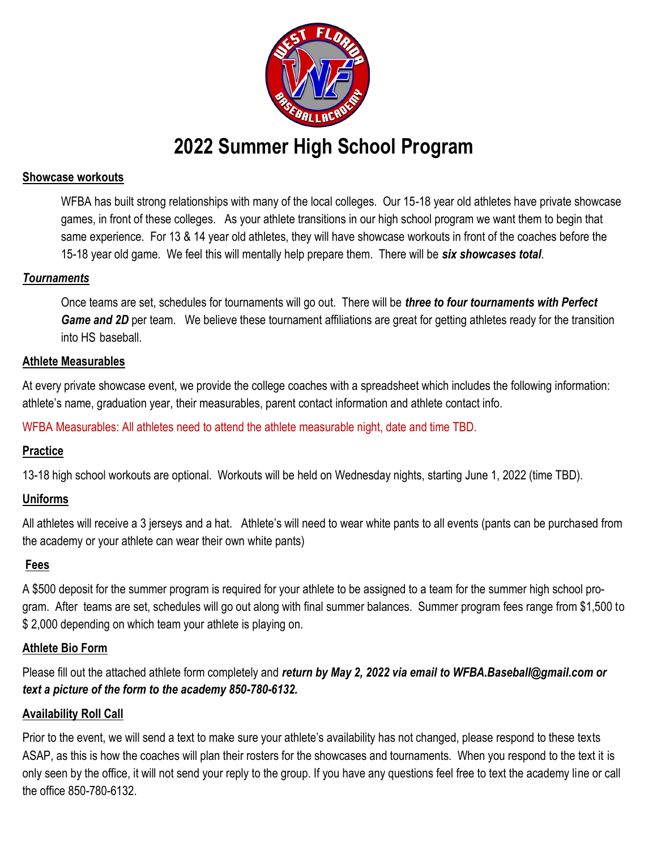

# **2022 Summer High School Program**

#### **Showcase workouts**

WFBA has built strong relationships with many of the local colleges. Our 15-18 year old athletes have private showcase games, in front of these colleges. As your athlete transitions in our high school program we want them to begin that same experience. For 13 & 14 year old athletes, they will have showcase workouts in front of the coaches before the 15-18 year old game. We feel this will mentally help prepare them. There will be *six showcases total*.

#### *Tournaments*

Once teams are set, schedules for tournaments will go out. There will be *three to four tournaments with Perfect*  **Game and 2D** per team. We believe these tournament affiliations are great for getting athletes ready for the transition into HS baseball.

#### **Athlete Measurables**

At every private showcase event, we provide the college coaches with a spreadsheet which includes the following information: athlete's name, graduation year, their measurables, parent contact information and athlete contact info.

WFBA Measurables: All athletes need to attend the athlete measurable night, date and time TBD.

## **Practice**

13-18 high school workouts are optional. Workouts will be held on Wednesday nights, starting June 1, 2022 (time TBD).

## **Uniforms**

All athletes will receive a 3 jerseys and a hat. Athlete's will need to wear white pants to all events (pants can be purchased from the academy or your athlete can wear their own white pants)

## **Fees**

A \$500 deposit for the summer program is required for your athlete to be assigned to a team for the summer high school program. After teams are set, schedules will go out along with final summer balances. Summer program fees range from \$1,500 to \$ 2,000 depending on which team your athlete is playing on.

## **Athlete Bio Form**

Please fill out the attached athlete form completely and *return by May 2, 2022 via email to WFBA.Baseball@gmail.com or text a picture of the form to the academy 850-780-6132.*

## **Availability Roll Call**

Prior to the event, we will send a text to make sure your athlete's availability has not changed, please respond to these texts ASAP, as this is how the coaches will plan their rosters for the showcases and tournaments. When you respond to the text it is only seen by the office, it will not send your reply to the group. If you have any questions feel free to text the academy line or call the office 850-780-6132.